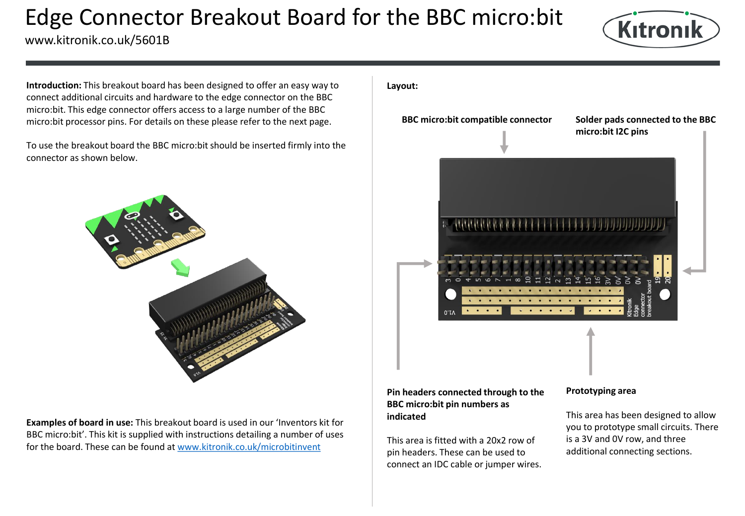# Edge Connector Breakout Board for the BBC micro:bit

www.kitronik.co.uk/5601B



**Introduction:** This breakout board has been designed to offer an easy way to connect additional circuits and hardware to the edge connector on the BBC micro:bit. This edge connector offers access to a large number of the BBC micro:bit processor pins. For details on these please refer to the next page.

To use the breakout board the BBC micro:bit should be inserted firmly into the connector as shown below.



**Examples of board in use:** This breakout board is used in our 'Inventors kit for BBC micro:bit'. This kit is supplied with instructions detailing a number of uses for the board. These can be found at [www.kitronik.co.uk/microbitinvent](http://www.kitronik.co.uk/microbitinvent)

### **Layout:**

**BBC micro:bit compatible connector**

**Solder pads connected to the BBC micro:bit I2C pins**



## **Pin headers connected through to the BBC micro:bit pin numbers as indicated**

This area is fitted with a 20x2 row of pin headers. These can be used to connect an IDC cable or jumper wires.

### **Prototyping area**

This area has been designed to allow you to prototype small circuits. There is a 3V and 0V row, and three additional connecting sections.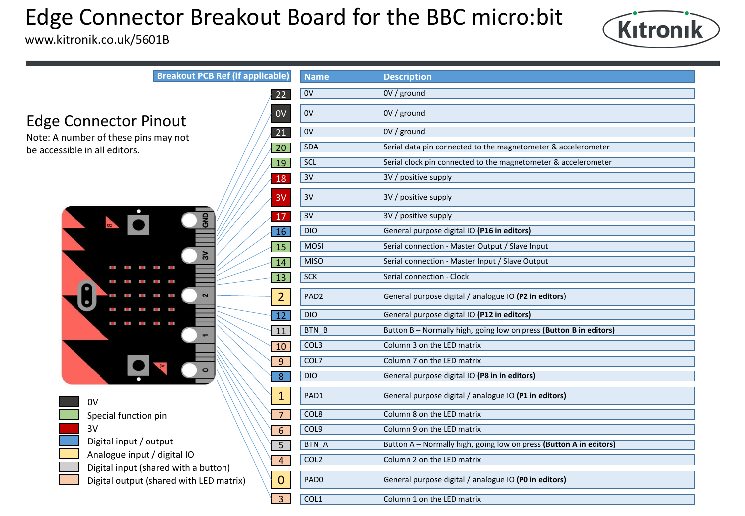# Edge Connector Breakout Board for the BBC micro:bit

www.kitronik.co.uk/5601B



Edge Connector Pinout

Note: A number of these pins may not be accessible in all editors.



0V Special function pin 3V Digital input / output Analogue input / digital IO Digital input (shared with a button) Digital output (shared with LED matrix)

| <b>Breakout PCB Ref (if applicable)</b>                 | <b>Name</b>      | <b>Description</b>                                                 |
|---------------------------------------------------------|------------------|--------------------------------------------------------------------|
| 22                                                      | 0V               | 0V / ground                                                        |
| 0 <sub>V</sub><br>nout                                  | 0V               | 0V / ground                                                        |
| 21<br>may not                                           | $\overline{ov}$  | 0V / ground                                                        |
| $\overline{20}$                                         | <b>SDA</b>       | Serial data pin connected to the magnetometer & accelerometer      |
| $\overline{19}$                                         | <b>SCL</b>       | Serial clock pin connected to the magnetometer & accelerometer     |
| 18                                                      | 3V               | 3V / positive supply                                               |
| 3V                                                      | 3V               | 3V / positive supply                                               |
| <b>SHD</b><br>17                                        | 3V               | 3V / positive supply                                               |
| 16                                                      | <b>DIO</b>       | General purpose digital IO (P16 in editors)                        |
| 15<br>3V                                                | <b>MOSI</b>      | Serial connection - Master Output / Slave Input                    |
| 14<br>$\mathbf{H}$ and $\mathbf{H}$                     | <b>MISO</b>      | Serial connection - Master Input / Slave Output                    |
| 13<br><b>COL</b><br>I.                                  | <b>SCK</b>       | Serial connection - Clock                                          |
| $\mathbf{a}$<br>2<br>Ξ                                  | PAD <sub>2</sub> | General purpose digital / analogue IO (P2 in editors)              |
| u<br>$\mathcal{M}$<br>$\overline{12}$<br>$\blacksquare$ | <b>DIO</b>       | General purpose digital IO (P12 in editors)                        |
| 11                                                      | <b>BTN B</b>     | Button B - Normally high, going low on press (Button B in editors) |
| 10                                                      | COL3             | Column 3 on the LED matrix                                         |
| $\overline{9}$                                          | COL7             | Column 7 on the LED matrix                                         |
| $\overline{8}$                                          | DIO              | General purpose digital IO (P8 in in editors)                      |
| $\mathbf{1}$                                            | PAD1             | General purpose digital / analogue IO (P1 in editors)              |
| $\overline{7}$<br>pin                                   | COL8             | Column 8 on the LED matrix                                         |
| 6                                                       | COL9             | Column 9 on the LED matrix                                         |
| utput<br>$\overline{5}$                                 | <b>BTN A</b>     | Button A - Normally high, going low on press (Button A in editors) |
| digital IO<br>$\overline{4}$<br>ared with a button)     | COL <sub>2</sub> | Column 2 on the LED matrix                                         |
| 0<br>hared with LED matrix)                             | PAD <sub>0</sub> | General purpose digital / analogue IO (PO in editors)              |
| 3                                                       | COL1             | Column 1 on the LED matrix                                         |